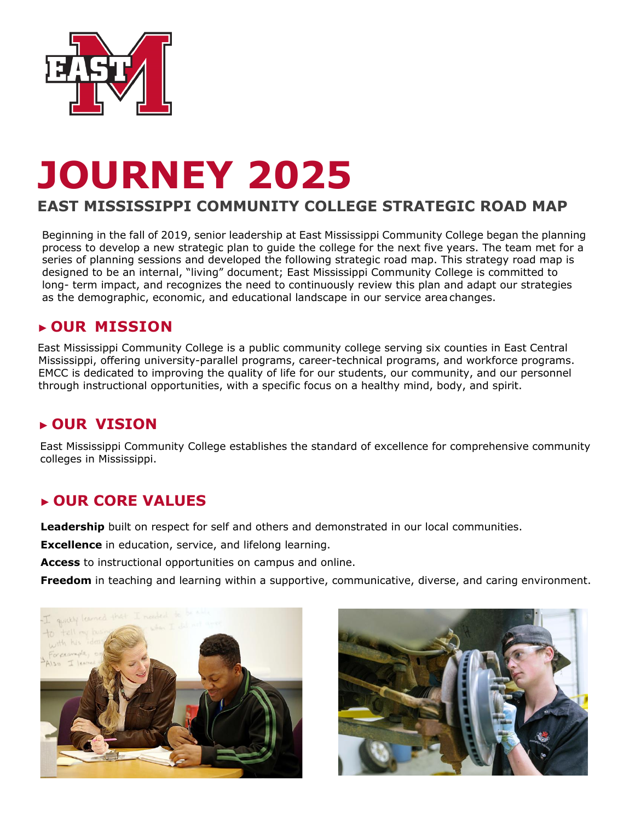

# **JOURNEY 2025**

## **EAST MISSISSIPPI COMMUNITY COLLEGE STRATEGIC ROAD MAP**

Beginning in the fall of 2019, senior leadership at East Mississippi Community College began the planning process to develop a new strategic plan to guide the college for the next five years. The team met for a series of planning sessions and developed the following strategic road map. This strategy road map is designed to be an internal, "living" document; East Mississippi Community College is committed to long- term impact, and recognizes the need to continuously review this plan and adapt our strategies as the demographic, economic, and educational landscape in our service areachanges.

## **► OUR MISSION**

East Mississippi Community College is a public community college serving six counties in East Central Mississippi, offering university-parallel programs, career-technical programs, and workforce programs. EMCC is dedicated to improving the quality of life for our students, our community, and our personnel through instructional opportunities, with a specific focus on a healthy mind, body, and spirit.

## **► OUR VISION**

East Mississippi Community College establishes the standard of excellence for comprehensive community colleges in Mississippi.

## **► OUR CORE VALUES**

**Leadership** built on respect for self and others and demonstrated in our local communities.

**Excellence** in education, service, and lifelong learning.

**Access** to instructional opportunities on campus and online.

**Freedom** in teaching and learning within a supportive, communicative, diverse, and caring environment.



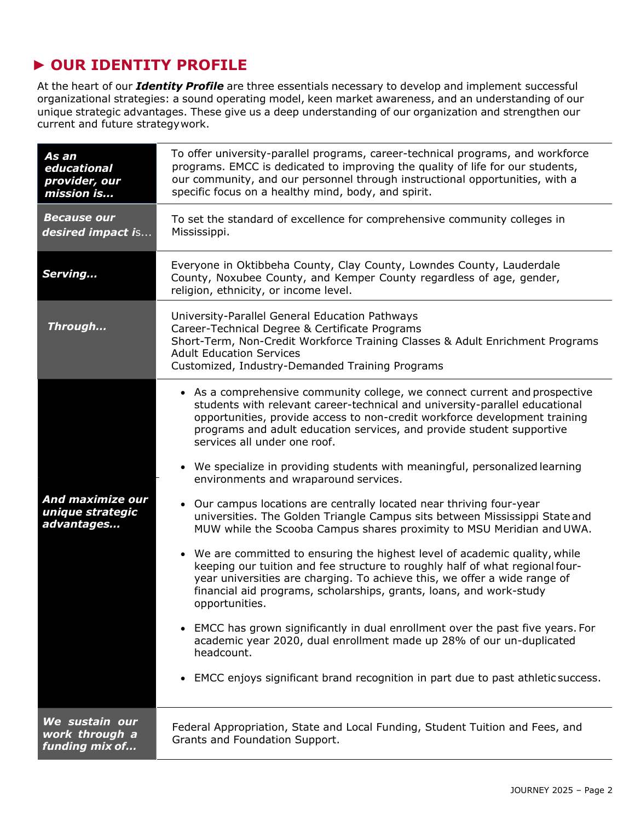## ► **OUR IDENTITY PROFILE**

At the heart of our *Identity Profile* are three essentials necessary to develop and implement successful organizational strategies: a sound operating model, keen market awareness, and an understanding of our unique strategic advantages. These give us a deep understanding of our organization and strengthen our current and future strategywork.

| As an<br>educational<br>provider, our<br>mission is | To offer university-parallel programs, career-technical programs, and workforce<br>programs. EMCC is dedicated to improving the quality of life for our students,<br>our community, and our personnel through instructional opportunities, with a<br>specific focus on a healthy mind, body, and spirit.                                                                                                                                                                                                                                                                                                                                                                                                                                                                                                                                                                                                                                                                                                                                                                                                                                                                                                                                                                                                   |
|-----------------------------------------------------|------------------------------------------------------------------------------------------------------------------------------------------------------------------------------------------------------------------------------------------------------------------------------------------------------------------------------------------------------------------------------------------------------------------------------------------------------------------------------------------------------------------------------------------------------------------------------------------------------------------------------------------------------------------------------------------------------------------------------------------------------------------------------------------------------------------------------------------------------------------------------------------------------------------------------------------------------------------------------------------------------------------------------------------------------------------------------------------------------------------------------------------------------------------------------------------------------------------------------------------------------------------------------------------------------------|
| <b>Because our</b><br>desired impact is             | To set the standard of excellence for comprehensive community colleges in<br>Mississippi.                                                                                                                                                                                                                                                                                                                                                                                                                                                                                                                                                                                                                                                                                                                                                                                                                                                                                                                                                                                                                                                                                                                                                                                                                  |
| Serving                                             | Everyone in Oktibbeha County, Clay County, Lowndes County, Lauderdale<br>County, Noxubee County, and Kemper County regardless of age, gender,<br>religion, ethnicity, or income level.                                                                                                                                                                                                                                                                                                                                                                                                                                                                                                                                                                                                                                                                                                                                                                                                                                                                                                                                                                                                                                                                                                                     |
| Through                                             | University-Parallel General Education Pathways<br>Career-Technical Degree & Certificate Programs<br>Short-Term, Non-Credit Workforce Training Classes & Adult Enrichment Programs<br><b>Adult Education Services</b><br>Customized, Industry-Demanded Training Programs                                                                                                                                                                                                                                                                                                                                                                                                                                                                                                                                                                                                                                                                                                                                                                                                                                                                                                                                                                                                                                    |
| And maximize our<br>unique strategic<br>advantages  | • As a comprehensive community college, we connect current and prospective<br>students with relevant career-technical and university-parallel educational<br>opportunities, provide access to non-credit workforce development training<br>programs and adult education services, and provide student supportive<br>services all under one roof.<br>• We specialize in providing students with meaningful, personalized learning<br>environments and wraparound services.<br>• Our campus locations are centrally located near thriving four-year<br>universities. The Golden Triangle Campus sits between Mississippi State and<br>MUW while the Scooba Campus shares proximity to MSU Meridian and UWA.<br>• We are committed to ensuring the highest level of academic quality, while<br>keeping our tuition and fee structure to roughly half of what regional four-<br>year universities are charging. To achieve this, we offer a wide range of<br>financial aid programs, scholarships, grants, loans, and work-study<br>opportunities.<br>• EMCC has grown significantly in dual enrollment over the past five years. For<br>academic year 2020, dual enrollment made up 28% of our un-duplicated<br>headcount.<br>EMCC enjoys significant brand recognition in part due to past athletic success. |
| We sustain our<br>work through a<br>funding mix of  | Federal Appropriation, State and Local Funding, Student Tuition and Fees, and<br>Grants and Foundation Support.                                                                                                                                                                                                                                                                                                                                                                                                                                                                                                                                                                                                                                                                                                                                                                                                                                                                                                                                                                                                                                                                                                                                                                                            |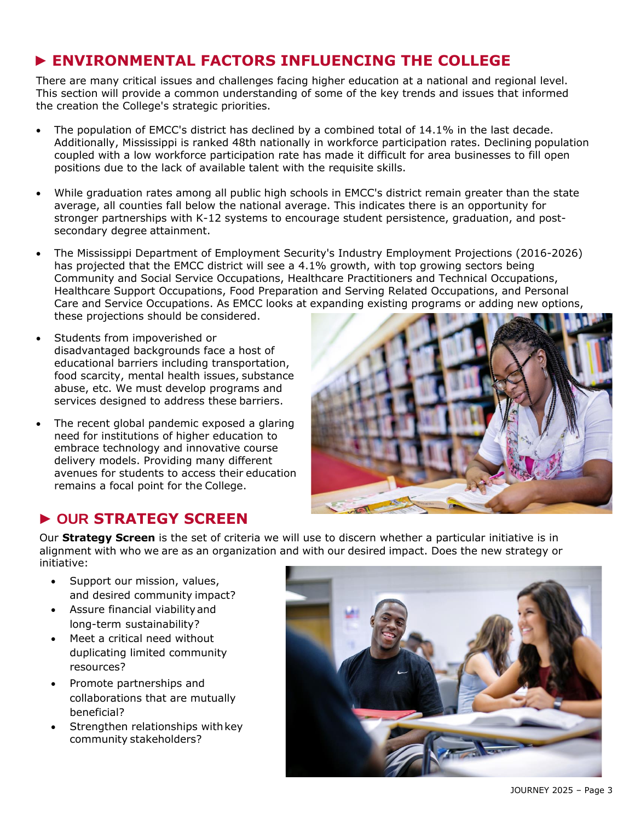## ► **ENVIRONMENTAL FACTORS INFLUENCING THE COLLEGE**

There are many critical issues and challenges facing higher education at a national and regional level. This section will provide a common understanding of some of the key trends and issues that informed the creation the College's strategic priorities.

- The population of EMCC's district has declined by a combined total of 14.1% in the last decade. Additionally, Mississippi is ranked 48th nationally in workforce participation rates. Declining population coupled with a low workforce participation rate has made it difficult for area businesses to fill open positions due to the lack of available talent with the requisite skills.
- While graduation rates among all public high schools in EMCC's district remain greater than the state average, all counties fall below the national average. This indicates there is an opportunity for stronger partnerships with K-12 systems to encourage student persistence, graduation, and postsecondary degree attainment.
- The Mississippi Department of Employment Security's Industry Employment Projections (2016-2026) has projected that the EMCC district will see a 4.1% growth, with top growing sectors being Community and Social Service Occupations, Healthcare Practitioners and Technical Occupations, Healthcare Support Occupations, Food Preparation and Serving Related Occupations, and Personal Care and Service Occupations. As EMCC looks at expanding existing programs or adding new options, these projections should be considered.
- Students from impoverished or disadvantaged backgrounds face a host of educational barriers including transportation, food scarcity, mental health issues, substance abuse, etc. We must develop programs and services designed to address these barriers.
- The recent global pandemic exposed a glaring need for institutions of higher education to embrace technology and innovative course delivery models. Providing many different avenues for students to access their education remains a focal point for the College.



## **► OUR STRATEGY SCREEN**

Our **Strategy Screen** is the set of criteria we will use to discern whether a particular initiative is in alignment with who we are as an organization and with our desired impact. Does the new strategy or initiative:

- Support our mission, values, and desired community impact?
- Assure financial viabilityand long-term sustainability?
- Meet a critical need without duplicating limited community resources?
- Promote partnerships and collaborations that are mutually beneficial?
- Strengthen relationships with key community stakeholders?